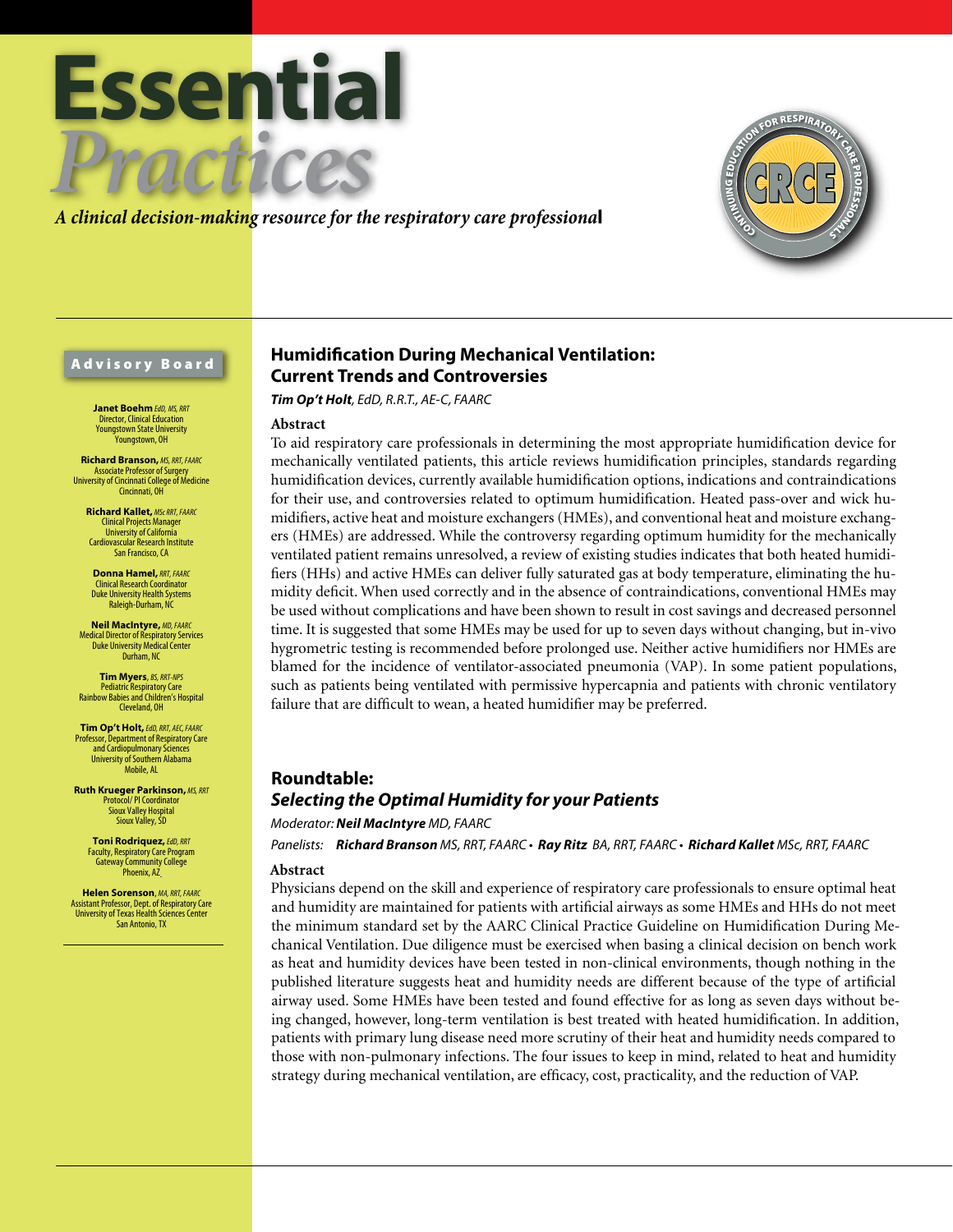



### Advisory Board

**Janet Boehm** *EdD, MS, RRT* Director, Clinical Education Youngstown State University Youngstown, OH

**Richard Branson,** *MS, RRT, FAARC* Associate Professor of Surgery University of Cincinnati College of Medicine Cincinnati, OH

> **Richard Kallet,** *MSc RRT, FAARC* Clinical Projects Manager University of California Cardiovascular Research Institute San Francisco, CA

**Donna Hamel,***RRT, FAARC* Clinical Research Coordinator Duke University Health Systems Raleigh-Durham, NC

**Neil MacIntyre,** *MD, FAARC* Medical Director of Respiratory Services Duke University Medical Center Durham, NC

**Tim Myers**, *BS, RRT-NPS* Pediatric Respiratory Care Rainbow Babies and Children's Hospital Cleveland, OH

**Tim Op't Holt,** *EdD, RRT, AEC, FAARC* Professor, Department of Respiratory Care and Cardiopulmonary Sciences University of Southern Alabama Mobile, AL

**Ruth Krueger Parkinson,** *MS, RRT* Protocol/ PI Coordinator Sioux Valley Hospital Sioux Valley, SD

> **Toni Rodriquez,** *EdD, RRT* Faculty, Respiratory Care Program Gateway Community College Phoenix, A7

**Helen Sorenson**, *MA, RRT, FAARC* Assistant Professor, Dept. of Respiratory Care University of Texas Health Sciences Center San Antonio, TX

## **Humidification During Mechanical Ventilation: Current Trends and Controversies**

*Tim Op't Holt, EdD, R.R.T., AE-C, FAARC*

#### **Abstract**

To aid respiratory care professionals in determining the most appropriate humidification device for mechanically ventilated patients, this article reviews humidification principles, standards regarding humidification devices, currently available humidification options, indications and contraindications for their use, and controversies related to optimum humidification. Heated pass-over and wick humidifiers, active heat and moisture exchangers (HMEs), and conventional heat and moisture exchangers (HMEs) are addressed. While the controversy regarding optimum humidity for the mechanically ventilated patient remains unresolved, a review of existing studies indicates that both heated humidifiers (HHs) and active HMEs can deliver fully saturated gas at body temperature, eliminating the humidity deficit. When used correctly and in the absence of contraindications, conventional HMEs may be used without complications and have been shown to result in cost savings and decreased personnel time. It is suggested that some HMEs may be used for up to seven days without changing, but in-vivo hygrometric testing is recommended before prolonged use. Neither active humidifiers nor HMEs are blamed for the incidence of ventilator-associated pneumonia (VAP). In some patient populations, such as patients being ventilated with permissive hypercapnia and patients with chronic ventilatory failure that are difficult to wean, a heated humidifier may be preferred.

## **Roundtable:**  *Selecting the Optimal Humidity for your Patients*

*Moderator: Neil MacIntyre MD, FAARC* 

*Panelists: Richard Branson MS, RRT, FAARC • Ray Ritz BA, RRT, FAARC • Richard Kallet MSc, RRT, FAARC*

### **Abstract**

Physicians depend on the skill and experience of respiratory care professionals to ensure optimal heat and humidity are maintained for patients with artificial airways as some HMEs and HHs do not meet the minimum standard set by the AARC Clinical Practice Guideline on Humidification During Mechanical Ventilation. Due diligence must be exercised when basing a clinical decision on bench work as heat and humidity devices have been tested in non-clinical environments, though nothing in the published literature suggests heat and humidity needs are different because of the type of artificial airway used. Some HMEs have been tested and found effective for as long as seven days without being changed, however, long-term ventilation is best treated with heated humidification. In addition, patients with primary lung disease need more scrutiny of their heat and humidity needs compared to those with non-pulmonary infections. The four issues to keep in mind, related to heat and humidity strategy during mechanical ventilation, are efficacy, cost, practicality, and the reduction of VAP.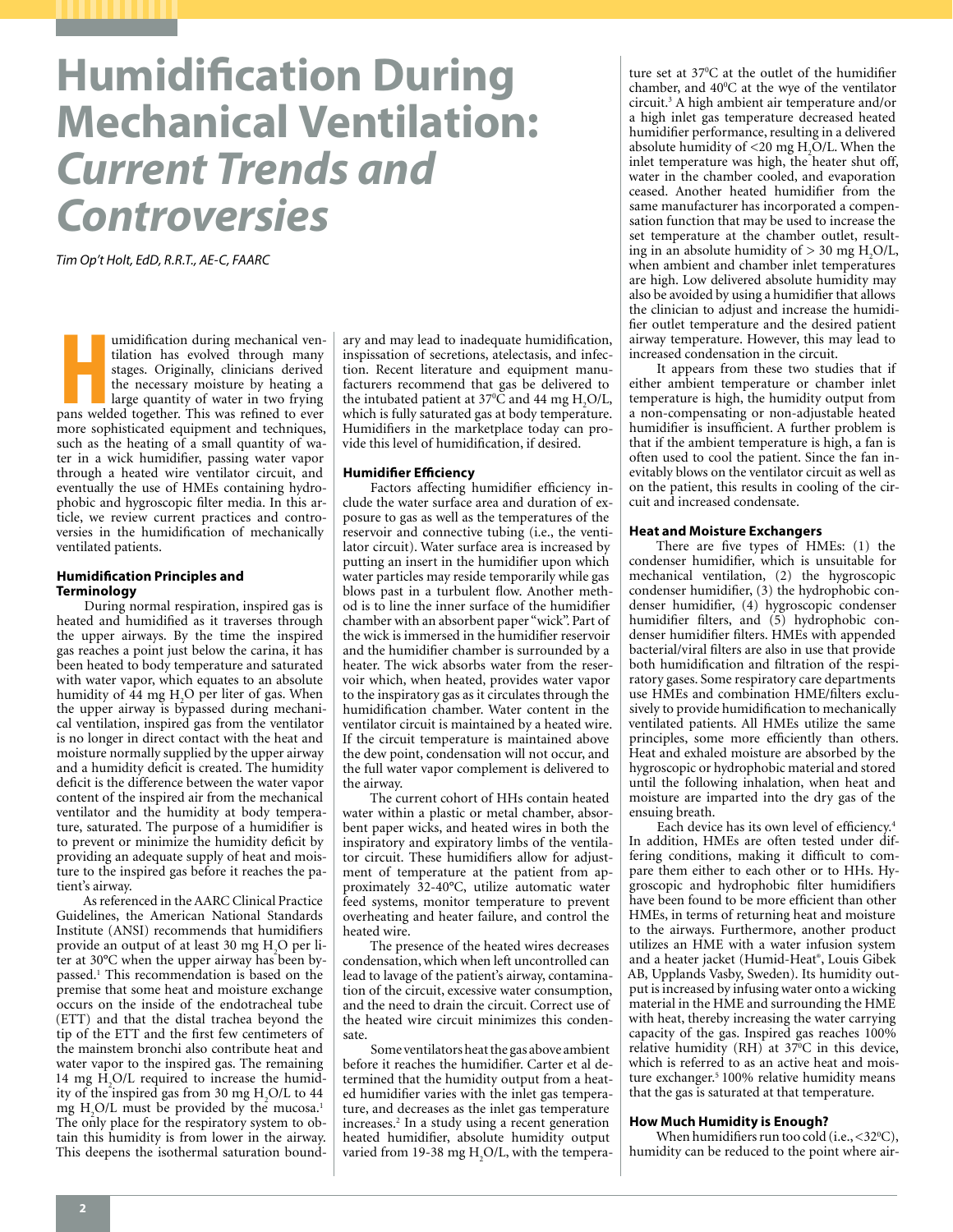# **Humidification During Mechanical Ventilation:** *Current Trends and Controversies*

*Tim Op't Holt, EdD, R.R.T., AE-C, FAARC*

**Hammark Contract Contract Contract Contract Contract Contract Contract Contract Contract Contract Contract Contract Contract Contract Contract Contract Contract Contract Contract Contract Contract Contract Contract Contra** umidification during mechanical ventilation has evolved through many stages. Originally, clinicians derived the necessary moisture by heating a large quantity of water in two frying more sophisticated equipment and techniques, such as the heating of a small quantity of water in a wick humidifier, passing water vapor through a heated wire ventilator circuit, and eventually the use of HMEs containing hydrophobic and hygroscopic filter media. In this article, we review current practices and controversies in the humidification of mechanically ventilated patients.

#### **Humidification Principles and Terminology**

During normal respiration, inspired gas is heated and humidified as it traverses through the upper airways. By the time the inspired gas reaches a point just below the carina, it has been heated to body temperature and saturated with water vapor, which equates to an absolute humidity of 44 mg H<sub>2</sub>O per liter of gas. When the upper airway is bypassed during mechanical ventilation, inspired gas from the ventilator is no longer in direct contact with the heat and moisture normally supplied by the upper airway and a humidity deficit is created. The humidity deficit is the difference between the water vapor content of the inspired air from the mechanical ventilator and the humidity at body temperature, saturated. The purpose of a humidifier is to prevent or minimize the humidity deficit by providing an adequate supply of heat and moisture to the inspired gas before it reaches the patient's airway.

As referenced in the AARC Clinical Practice Guidelines, the American National Standards Institute (ANSI) recommends that humidifiers provide an output of at least 30 mg H2 O per liter at 30°C when the upper airway has been bypassed.1 This recommendation is based on the premise that some heat and moisture exchange occurs on the inside of the endotracheal tube (ETT) and that the distal trachea beyond the tip of the ETT and the first few centimeters of the mainstem bronchi also contribute heat and water vapor to the inspired gas. The remaining 14 mg  $H<sub>2</sub>O/L$  required to increase the humidity of the inspired gas from 30 mg  $H_2O/L$  to 44 mg  $H_2O/L$  must be provided by the mucosa.<sup>1</sup> The only place for the respiratory system to obtain this humidity is from lower in the airway. This deepens the isothermal saturation bound-

ary and may lead to inadequate humidification, inspissation of secretions, atelectasis, and infection. Recent literature and equipment manufacturers recommend that gas be delivered to the intubated patient at 37<sup>o</sup>C and 44 mg  $H_2O/L$ , which is fully saturated gas at body temperature. Humidifiers in the marketplace today can provide this level of humidification, if desired.

#### **Humidifier Efficiency**

Factors affecting humidifier efficiency include the water surface area and duration of exposure to gas as well as the temperatures of the reservoir and connective tubing (i.e., the ventilator circuit). Water surface area is increased by putting an insert in the humidifier upon which water particles may reside temporarily while gas blows past in a turbulent flow. Another method is to line the inner surface of the humidifier chamber with an absorbent paper "wick". Part of the wick is immersed in the humidifier reservoir and the humidifier chamber is surrounded by a heater. The wick absorbs water from the reservoir which, when heated, provides water vapor to the inspiratory gas as it circulates through the humidification chamber. Water content in the ventilator circuit is maintained by a heated wire. If the circuit temperature is maintained above the dew point, condensation will not occur, and the full water vapor complement is delivered to the airway.

The current cohort of HHs contain heated water within a plastic or metal chamber, absorbent paper wicks, and heated wires in both the inspiratory and expiratory limbs of the ventilator circuit. These humidifiers allow for adjustment of temperature at the patient from approximately 32-40°C, utilize automatic water feed systems, monitor temperature to prevent overheating and heater failure, and control the heated wire.

The presence of the heated wires decreases condensation, which when left uncontrolled can lead to lavage of the patient's airway, contamination of the circuit, excessive water consumption, and the need to drain the circuit. Correct use of the heated wire circuit minimizes this condensate.

Some ventilators heat the gas above ambient before it reaches the humidifier. Carter et al determined that the humidity output from a heated humidifier varies with the inlet gas temperature, and decreases as the inlet gas temperature increases.2 In a study using a recent generation heated humidifier, absolute humidity output varied from 19-38 mg  $H_2O/L$ , with the tempera-

ture set at 37°C at the outlet of the humidifier chamber, and  $40^{\circ}$ C at the wye of the ventilator circuit.3 A high ambient air temperature and/or a high inlet gas temperature decreased heated humidifier performance, resulting in a delivered absolute humidity of  $\leq$ 20 mg H<sub>2</sub>O/L. When the inlet temperature was high, the heater shut off, water in the chamber cooled, and evaporation ceased. Another heated humidifier from the same manufacturer has incorporated a compensation function that may be used to increase the set temperature at the chamber outlet, resulting in an absolute humidity of  $> 30$  mg H<sub>2</sub>O/L, when ambient and chamber inlet temperatures are high. Low delivered absolute humidity may also be avoided by using a humidifier that allows the clinician to adjust and increase the humidifier outlet temperature and the desired patient airway temperature. However, this may lead to increased condensation in the circuit.

It appears from these two studies that if either ambient temperature or chamber inlet temperature is high, the humidity output from a non-compensating or non-adjustable heated humidifier is insufficient. A further problem is that if the ambient temperature is high, a fan is often used to cool the patient. Since the fan inevitably blows on the ventilator circuit as well as on the patient, this results in cooling of the circuit and increased condensate.

#### **Heat and Moisture Exchangers**

There are five types of HMEs: (1) the condenser humidifier, which is unsuitable for mechanical ventilation, (2) the hygroscopic condenser humidifier, (3) the hydrophobic condenser humidifier, (4) hygroscopic condenser humidifier filters, and (5) hydrophobic condenser humidifier filters. HMEs with appended bacterial/viral filters are also in use that provide both humidification and filtration of the respiratory gases. Some respiratory care departments use HMEs and combination HME/filters exclusively to provide humidification to mechanically ventilated patients. All HMEs utilize the same principles, some more efficiently than others. Heat and exhaled moisture are absorbed by the hygroscopic or hydrophobic material and stored until the following inhalation, when heat and moisture are imparted into the dry gas of the ensuing breath.

Each device has its own level of efficiency.<sup>4</sup> In addition, HMEs are often tested under differing conditions, making it difficult to compare them either to each other or to HHs. Hygroscopic and hydrophobic filter humidifiers have been found to be more efficient than other HMEs, in terms of returning heat and moisture to the airways. Furthermore, another product utilizes an HME with a water infusion system and a heater jacket (Humid-Heat® , Louis Gibek AB, Upplands Vasby, Sweden). Its humidity output is increased by infusing water onto a wicking material in the HME and surrounding the HME with heat, thereby increasing the water carrying capacity of the gas. Inspired gas reaches 100% relative humidity (RH) at 37°C in this device, which is referred to as an active heat and moisture exchanger.<sup>5</sup> 100% relative humidity means that the gas is saturated at that temperature.

#### **How Much Humidity is Enough?**

When humidifiers run too cold (i.e., <32°C), humidity can be reduced to the point where air-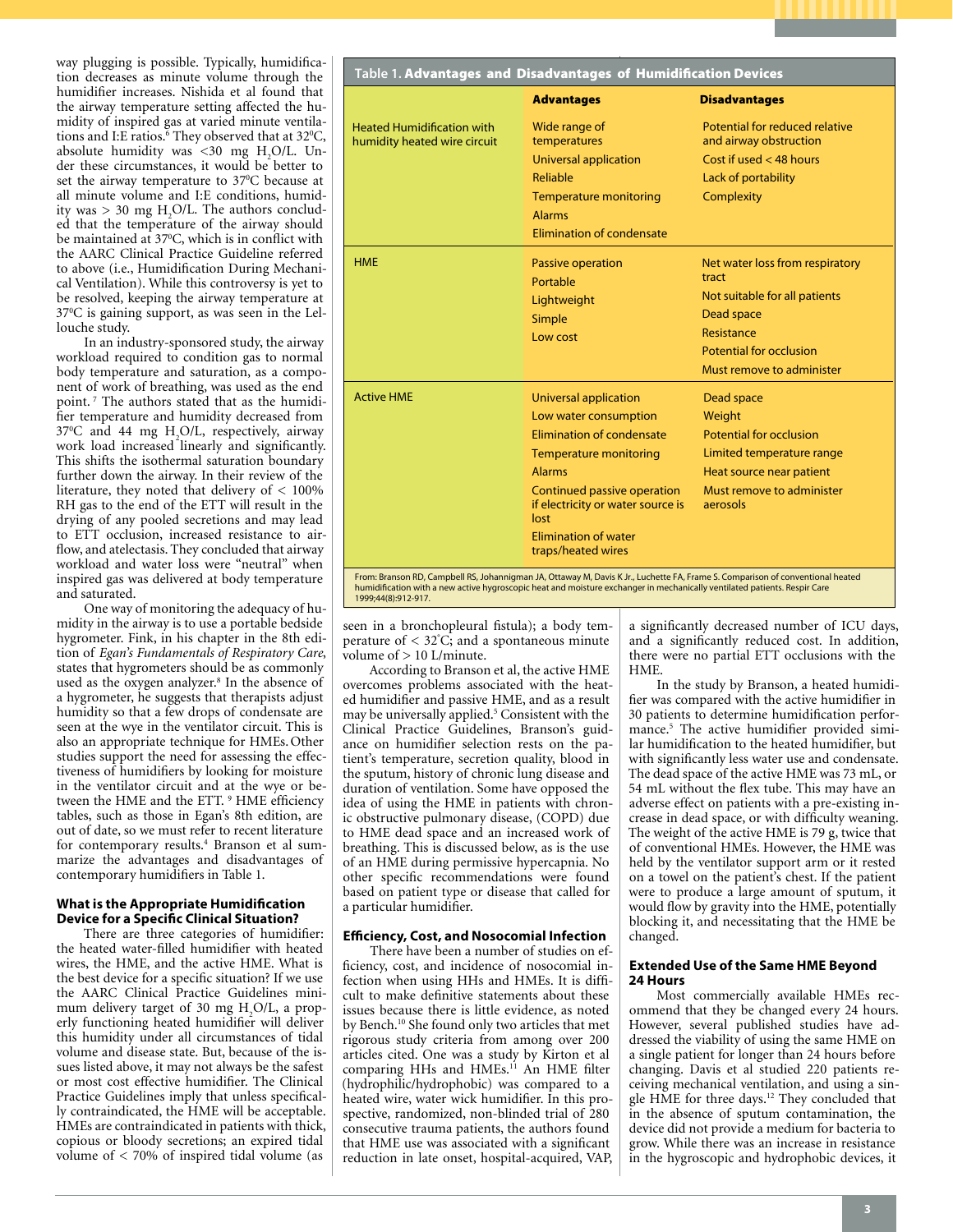

In an industry-sponsored study, the airway workload required to condition gas to normal body temperature and saturation, as a component of work of breathing, was used as the end point. 7 The authors stated that as the humidifier temperature and humidity decreased from 370 C and 44 mg H2 O/L, respectively, airway work load increased linearly and significantly. This shifts the isothermal saturation boundary further down the airway. In their review of the literature, they noted that delivery of < 100% RH gas to the end of the ETT will result in the drying of any pooled secretions and may lead to ETT occlusion, increased resistance to airflow, and atelectasis. They concluded that airway workload and water loss were "neutral" when inspired gas was delivered at body temperature and saturated.

One way of monitoring the adequacy of humidity in the airway is to use a portable bedside hygrometer. Fink, in his chapter in the 8th edition of *Egan's Fundamentals of Respiratory Care*, states that hygrometers should be as commonly used as the oxygen analyzer.<sup>8</sup> In the absence of a hygrometer, he suggests that therapists adjust humidity so that a few drops of condensate are seen at the wye in the ventilator circuit. This is also an appropriate technique for HMEs.Other studies support the need for assessing the effectiveness of humidifiers by looking for moisture in the ventilator circuit and at the wye or between the HME and the ETT.<sup>9</sup> HME efficiency tables, such as those in Egan's 8th edition, are out of date, so we must refer to recent literature for contemporary results.<sup>4</sup> Branson et al summarize the advantages and disadvantages of contemporary humidifiers in Table 1.

#### **What is the Appropriate Humidification Device for a Specific Clinical Situation?**

There are three categories of humidifier: the heated water-filled humidifier with heated wires, the HME, and the active HME. What is the best device for a specific situation? If we use the AARC Clinical Practice Guidelines minimum delivery target of 30 mg  $H_2O/L$ , a properly functioning heated humidifier will deliver this humidity under all circumstances of tidal volume and disease state. But, because of the issues listed above, it may not always be the safest or most cost effective humidifier. The Clinical Practice Guidelines imply that unless specifically contraindicated, the HME will be acceptable. HMEs are contraindicated in patients with thick, copious or bloody secretions; an expired tidal volume of  $< 70\%$  of inspired tidal volume (as

|                                                                   | <b>Advantages</b>                                                        | <b>Disadvantages</b>                                     |
|-------------------------------------------------------------------|--------------------------------------------------------------------------|----------------------------------------------------------|
| <b>Heated Humidification with</b><br>humidity heated wire circuit | Wide range of<br>temperatures                                            | Potential for reduced relative<br>and airway obstruction |
|                                                                   | Universal application                                                    | Cost if used $<$ 48 hours                                |
|                                                                   | <b>Reliable</b>                                                          | Lack of portability                                      |
|                                                                   | <b>Temperature monitoring</b><br><b>Alarms</b>                           | Complexity                                               |
|                                                                   | Elimination of condensate                                                |                                                          |
| <b>HMF</b>                                                        | Passive operation<br>Portable                                            | Net water loss from respiratory<br>tract                 |
|                                                                   | Lightweight                                                              | Not suitable for all patients                            |
|                                                                   | Simple                                                                   | Dead space                                               |
|                                                                   | Low cost                                                                 | Resistance                                               |
|                                                                   |                                                                          | <b>Potential for occlusion</b>                           |
|                                                                   |                                                                          | Must remove to administer                                |
| <b>Active HMF</b>                                                 | Universal application                                                    | Dead space                                               |
|                                                                   | Low water consumption                                                    | Weight                                                   |
|                                                                   | <b>Elimination of condensate</b>                                         | <b>Potential for occlusion</b>                           |
|                                                                   | <b>Temperature monitoring</b>                                            | Limited temperature range                                |
|                                                                   | <b>Alarms</b>                                                            | Heat source near patient                                 |
|                                                                   | Continued passive operation<br>if electricity or water source is<br>lost | Must remove to administer<br>aerosols                    |
|                                                                   | <b>Flimination of water</b><br>traps/heated wires                        |                                                          |

seen in a bronchopleural fistula); a body temperature of < 32° C; and a spontaneous minute volume of > 10 L/minute.

According to Branson et al, the active HME overcomes problems associated with the heated humidifier and passive HME, and as a result may be universally applied.<sup>5</sup> Consistent with the Clinical Practice Guidelines, Branson's guidance on humidifier selection rests on the patient's temperature, secretion quality, blood in the sputum, history of chronic lung disease and duration of ventilation. Some have opposed the idea of using the HME in patients with chronic obstructive pulmonary disease, (COPD) due to HME dead space and an increased work of breathing. This is discussed below, as is the use of an HME during permissive hypercapnia. No other specific recommendations were found based on patient type or disease that called for a particular humidifier.

#### **Efficiency, Cost, and Nosocomial Infection**

There have been a number of studies on efficiency, cost, and incidence of nosocomial infection when using HHs and HMEs. It is difficult to make definitive statements about these issues because there is little evidence, as noted by Bench.10 She found only two articles that met rigorous study criteria from among over 200 articles cited. One was a study by Kirton et al comparing HHs and HMEs.<sup>11</sup> An HME filter (hydrophilic/hydrophobic) was compared to a heated wire, water wick humidifier. In this prospective, randomized, non-blinded trial of 280 consecutive trauma patients, the authors found that HME use was associated with a significant reduction in late onset, hospital-acquired, VAP,

a significantly decreased number of ICU days, and a significantly reduced cost. In addition, there were no partial ETT occlusions with the HME.

In the study by Branson, a heated humidifier was compared with the active humidifier in 30 patients to determine humidification performance.5 The active humidifier provided similar humidification to the heated humidifier, but with significantly less water use and condensate. The dead space of the active HME was 73 mL, or 54 mL without the flex tube. This may have an adverse effect on patients with a pre-existing increase in dead space, or with difficulty weaning. The weight of the active HME is 79 g, twice that of conventional HMEs. However, the HME was held by the ventilator support arm or it rested on a towel on the patient's chest. If the patient were to produce a large amount of sputum, it would flow by gravity into the HME, potentially blocking it, and necessitating that the HME be changed.

#### **Extended Use of the Same HME Beyond 24 Hours**

Most commercially available HMEs recommend that they be changed every 24 hours. However, several published studies have addressed the viability of using the same HME on a single patient for longer than 24 hours before changing. Davis et al studied 220 patients receiving mechanical ventilation, and using a single HME for three days.12 They concluded that in the absence of sputum contamination, the device did not provide a medium for bacteria to grow. While there was an increase in resistance in the hygroscopic and hydrophobic devices, it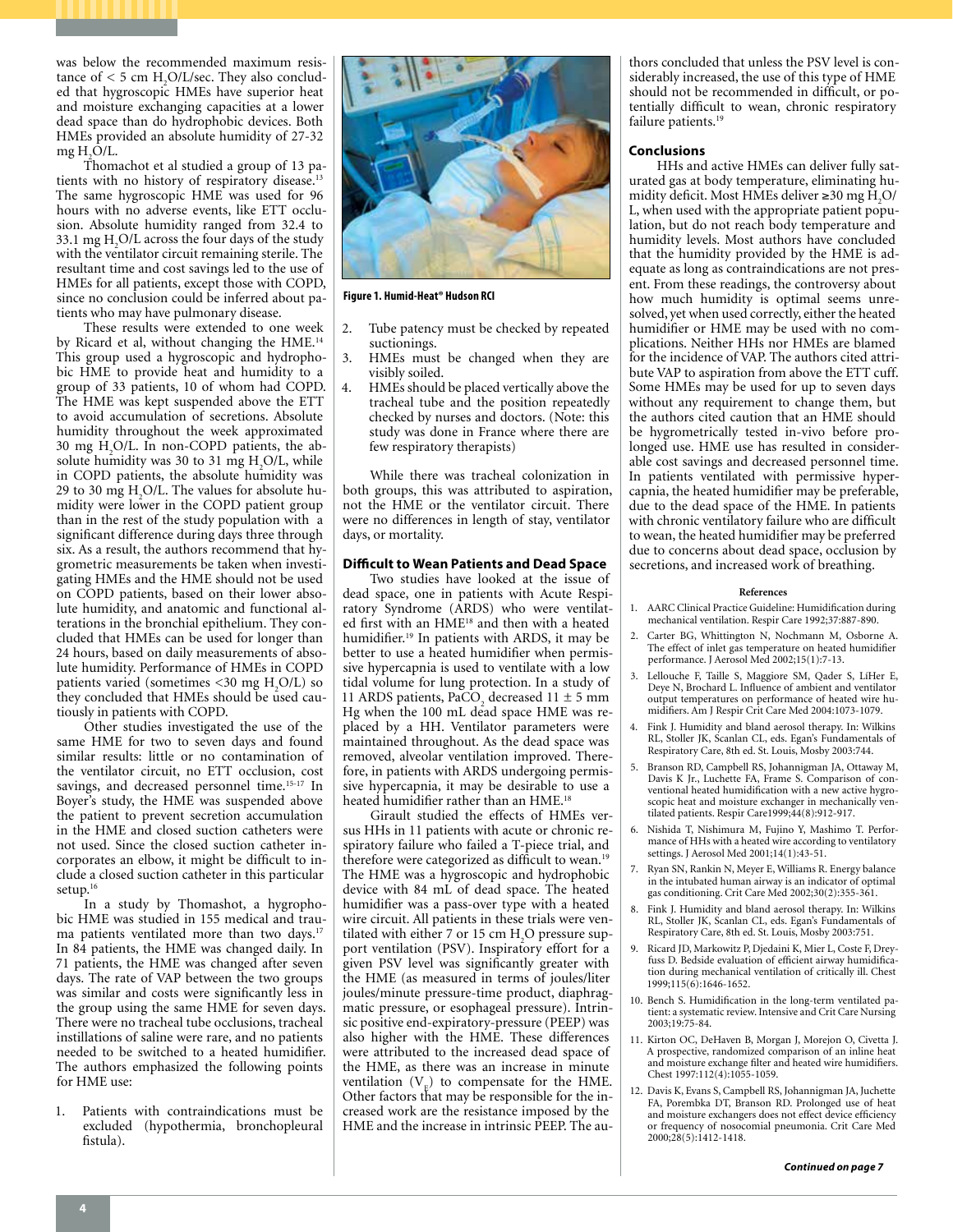was below the recommended maximum resistance of  $<$  5 cm H<sub>2</sub>O/L/sec. They also concluded that hygroscopic HMEs have superior heat and moisture exchanging capacities at a lower dead space than do hydrophobic devices. Both HMEs provided an absolute humidity of 27-32  $mg H<sub>2</sub>O/L$ .

Thomachot et al studied a group of 13 patients with no history of respiratory disease.<sup>13</sup> The same hygroscopic HME was used for 96 hours with no adverse events, like ETT occlusion. Absolute humidity ranged from 32.4 to 33.1 mg  $H_2O/L$  across the four days of the study with the ventilator circuit remaining sterile. The resultant time and cost savings led to the use of HMEs for all patients, except those with COPD, since no conclusion could be inferred about patients who may have pulmonary disease.

These results were extended to one week by Ricard et al, without changing the HME.<sup>14</sup> This group used a hygroscopic and hydrophobic HME to provide heat and humidity to a group of 33 patients, 10 of whom had COPD. The HME was kept suspended above the ETT to avoid accumulation of secretions. Absolute humidity throughout the week approximated 30 mg H2 O/L. In non-COPD patients, the absolute humidity was 30 to 31 mg  $H<sub>2</sub>O/L$ , while in COPD patients, the absolute humidity was 29 to 30 mg  $H<sub>2</sub>O/L$ . The values for absolute humidity were lower in the COPD patient group than in the rest of the study population with a significant difference during days three through six. As a result, the authors recommend that hygrometric measurements be taken when investigating HMEs and the HME should not be used on COPD patients, based on their lower absolute humidity, and anatomic and functional alterations in the bronchial epithelium. They concluded that HMEs can be used for longer than 24 hours, based on daily measurements of absolute humidity. Performance of HMEs in COPD patients varied (sometimes  $\lt30$  mg H<sub>2</sub>O/L) so they concluded that HMEs should be used cautiously in patients with COPD.

Other studies investigated the use of the same HME for two to seven days and found similar results: little or no contamination of the ventilator circuit, no ETT occlusion, cost savings, and decreased personnel time.<sup>15-17</sup> In Boyer's study, the HME was suspended above the patient to prevent secretion accumulation in the HME and closed suction catheters were not used. Since the closed suction catheter incorporates an elbow, it might be difficult to include a closed suction catheter in this particular setup.<sup>16</sup>

In a study by Thomashot, a hygrophobic HME was studied in 155 medical and trauma patients ventilated more than two days.<sup>17</sup> In 84 patients, the HME was changed daily. In 71 patients, the HME was changed after seven days. The rate of VAP between the two groups was similar and costs were significantly less in the group using the same HME for seven days. There were no tracheal tube occlusions, tracheal instillations of saline were rare, and no patients needed to be switched to a heated humidifier. The authors emphasized the following points for HME use:

1. Patients with contraindications must be excluded (hypothermia, bronchopleural fistula).



**Figure 1. Humid-Heat® Hudson RCI**

- Tube patency must be checked by repeated suctionings.
- HMEs must be changed when they are visibly soiled.
- 4. HMEs should be placed vertically above the tracheal tube and the position repeatedly checked by nurses and doctors. (Note: this study was done in France where there are few respiratory therapists)

While there was tracheal colonization in both groups, this was attributed to aspiration, not the HME or the ventilator circuit. There were no differences in length of stay, ventilator days, or mortality.

#### **Difficult to Wean Patients and Dead Space**

Two studies have looked at the issue of dead space, one in patients with Acute Respiratory Syndrome (ARDS) who were ventilated first with an HME18 and then with a heated humidifier.19 In patients with ARDS, it may be better to use a heated humidifier when permissive hypercapnia is used to ventilate with a low tidal volume for lung protection. In a study of 11 ARDS patients,  $PaCO<sub>2</sub>$  decreased 11  $\pm$  5 mm Hg when the 100 mL dead space HME was replaced by a HH. Ventilator parameters were maintained throughout. As the dead space was removed, alveolar ventilation improved. Therefore, in patients with ARDS undergoing permissive hypercapnia, it may be desirable to use a heated humidifier rather than an HME.<sup>18</sup>

Girault studied the effects of HMEs versus HHs in 11 patients with acute or chronic respiratory failure who failed a T-piece trial, and therefore were categorized as difficult to wean.<sup>19</sup> The HME was a hygroscopic and hydrophobic device with 84 mL of dead space. The heated humidifier was a pass-over type with a heated wire circuit. All patients in these trials were ventilated with either 7 or 15 cm  $H<sub>2</sub>O$  pressure support ventilation (PSV). Inspiratory effort for a given PSV level was significantly greater with the HME (as measured in terms of joules/liter joules/minute pressure-time product, diaphragmatic pressure, or esophageal pressure). Intrinsic positive end-expiratory-pressure (PEEP) was also higher with the HME. These differences were attributed to the increased dead space of the HME, as there was an increase in minute ventilation  $(V_{F})$  to compensate for the HME. Other factors that may be responsible for the increased work are the resistance imposed by the HME and the increase in intrinsic PEEP. The authors concluded that unless the PSV level is considerably increased, the use of this type of HME should not be recommended in difficult, or potentially difficult to wean, chronic respiratory failure patients.<sup>19</sup>

#### **Conclusions**

HHs and active HMEs can deliver fully saturated gas at body temperature, eliminating humidity deficit. Most HMEs deliver ≥30 mg H<sub>2</sub>O/ L, when used with the appropriate patient population, but do not reach body temperature and humidity levels. Most authors have concluded that the humidity provided by the HME is adequate as long as contraindications are not present. From these readings, the controversy about how much humidity is optimal seems unresolved, yet when used correctly, either the heated humidifier or HME may be used with no complications. Neither HHs nor HMEs are blamed for the incidence of VAP. The authors cited attribute VAP to aspiration from above the ETT cuff. Some HMEs may be used for up to seven days without any requirement to change them, but the authors cited caution that an HME should be hygrometrically tested in-vivo before prolonged use. HME use has resulted in considerable cost savings and decreased personnel time. In patients ventilated with permissive hypercapnia, the heated humidifier may be preferable, due to the dead space of the HME. In patients with chronic ventilatory failure who are difficult to wean, the heated humidifier may be preferred due to concerns about dead space, occlusion by secretions, and increased work of breathing.

#### **References**

- 1. AARC Clinical Practice Guideline: Humidification during mechanical ventilation. Respir Care 1992;37:887-890.
- 2. Carter BG, Whittington N, Nochmann M, Osborne A. The effect of inlet gas temperature on heated humidifier performance. J Aerosol Med 2002;15(1):7-13.
- 3. Lellouche F, Taille S, Maggiore SM, Qader S, LíHer E, Deye N, Brochard L. Influence of ambient and ventilator output temperatures on performance of heated wire humidifiers. Am J Respir Crit Care Med 2004:1073-1079.
- 4. Fink J. Humidity and bland aerosol therapy. In: Wilkins RL, Stoller JK, Scanlan CL, eds. Egan's Fundamentals of Respiratory Care, 8th ed. St. Louis, Mosby 2003:744.
- 5. Branson RD, Campbell RS, Johannigman JA, Ottaway M, Davis K Jr., Luchette FA, Frame S. Comparison of conventional heated humidification with a new active hygroscopic heat and moisture exchanger in mechanically ventilated patients. Respir Care1999;44(8):912-917.
- 6. Nishida T, Nishimura M, Fujino Y, Mashimo T. Performance of HHs with a heated wire according to ventilatory settings. J Aerosol Med 2001;14(1):43-51.
- 7. Ryan SN, Rankin N, Meyer E, Williams R. Energy balance in the intubated human airway is an indicator of optimal gas conditioning. Crit Care Med 2002;30(2):355-361.
- 8. Fink J. Humidity and bland aerosol therapy. In: Wilkins RL, Stoller JK, Scanlan CL, eds. Egan's Fundamentals of Respiratory Care, 8th ed. St. Louis, Mosby 2003:751.
- 9. Ricard JD, Markowitz P, Djedaini K, Mier L, Coste F, Dreyfuss D. Bedside evaluation of efficient airway humidification during mechanical ventilation of critically ill. Chest 1999;115(6):1646-1652.
- 10. Bench S. Humidification in the long-term ventilated patient: a systematic review. Intensive and Crit Care Nursing 2003;19:75-84.
- 11. Kirton OC, DeHaven B, Morgan J, Morejon O, Civetta J. A prospective, randomized comparison of an inline heat and moisture exchange filter and heated wire humidifiers. Chest 1997:112(4):1055-1059.
- 12. Davis K, Evans S, Campbell RS, Johannigman JA, Juchette FA, Porembka DT, Branson RD. Prolonged use of heat and moisture exchangers does not effect device efficiency or frequency of nosocomial pneumonia. Crit Care Med 2000;28(5):1412-1418.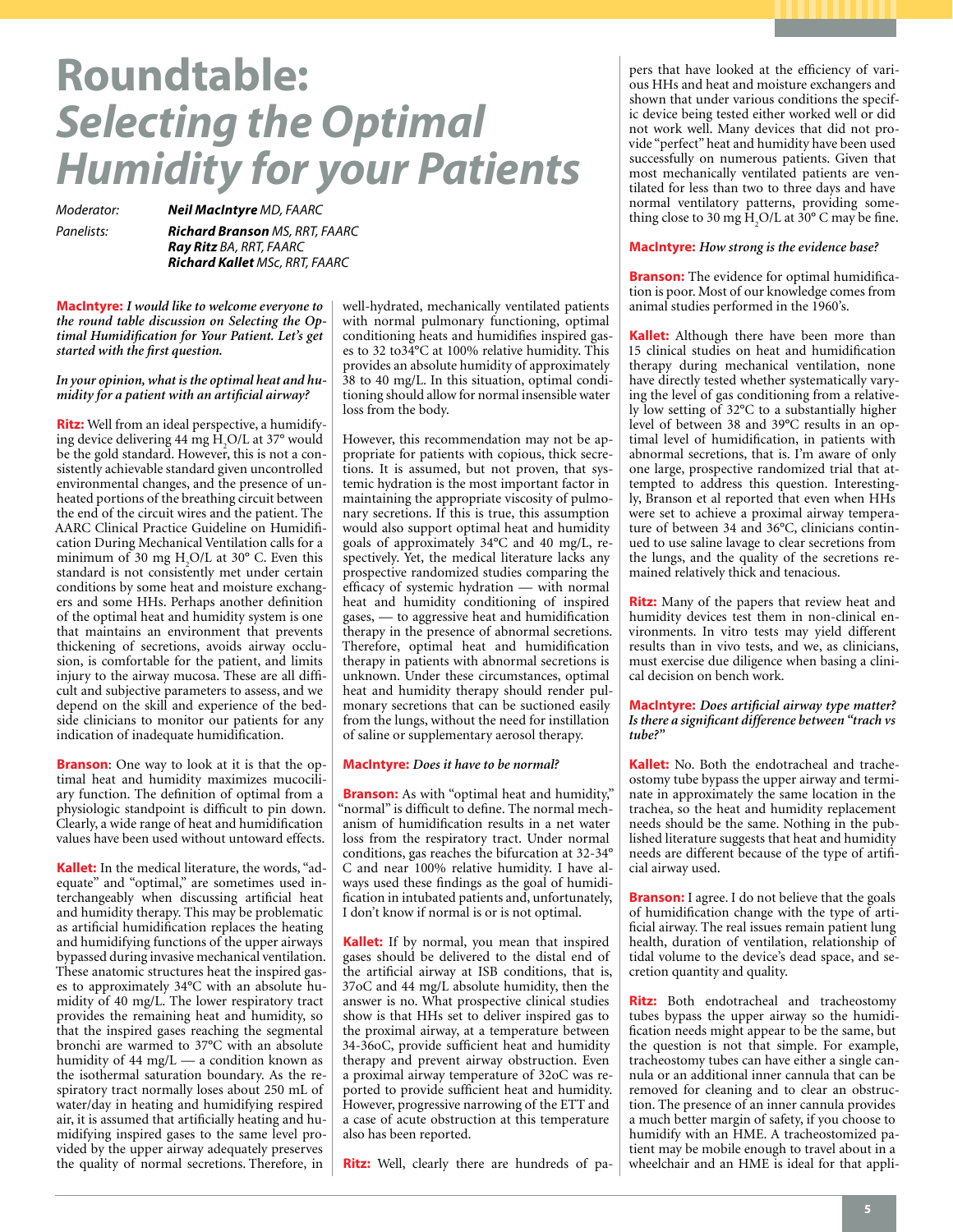# **Roundtable:**  *Selecting the Optimal Humidity for your Patients*

*Moderator: Neil MacIntyre MD, FAARC*

*Panelists: Richard Branson MS, RRT, FAARC Ray Ritz BA, RRT, FAARC Richard Kallet MSc, RRT, FAARC*

**MacIntyre:** *I would like to welcome everyone to the round table discussion on Selecting the Optimal Humidification for Your Patient. Let's get started with the first question.* 

*In your opinion, what is the optimal heat and humidity for a patient with an artificial airway?* 

**Ritz:** Well from an ideal perspective, a humidifying device delivering 44 mg  $H_2O/L$  at 37° would be the gold standard. However, this is not a consistently achievable standard given uncontrolled environmental changes, and the presence of unheated portions of the breathing circuit between the end of the circuit wires and the patient. The AARC Clinical Practice Guideline on Humidification During Mechanical Ventilation calls for a minimum of 30 mg  $H_2O/L$  at 30° C. Even this standard is not consistently met under certain conditions by some heat and moisture exchangers and some HHs. Perhaps another definition of the optimal heat and humidity system is one that maintains an environment that prevents thickening of secretions, avoids airway occlusion, is comfortable for the patient, and limits injury to the airway mucosa. These are all difficult and subjective parameters to assess, and we depend on the skill and experience of the bedside clinicians to monitor our patients for any indication of inadequate humidification.

**Branson**: One way to look at it is that the optimal heat and humidity maximizes mucociliary function. The definition of optimal from a physiologic standpoint is difficult to pin down. Clearly, a wide range of heat and humidification values have been used without untoward effects.

**Kallet:** In the medical literature, the words, "adequate" and "optimal," are sometimes used interchangeably when discussing artificial heat and humidity therapy. This may be problematic as artificial humidification replaces the heating and humidifying functions of the upper airways bypassed during invasive mechanical ventilation. These anatomic structures heat the inspired gases to approximately 34°C with an absolute humidity of 40 mg/L. The lower respiratory tract provides the remaining heat and humidity, so that the inspired gases reaching the segmental bronchi are warmed to 37°C with an absolute humidity of  $44 \text{ mg/L}$  — a condition known as the isothermal saturation boundary. As the respiratory tract normally loses about 250 mL of water/day in heating and humidifying respired air, it is assumed that artificially heating and humidifying inspired gases to the same level provided by the upper airway adequately preserves the quality of normal secretions. Therefore, in

well-hydrated, mechanically ventilated patients with normal pulmonary functioning, optimal conditioning heats and humidifies inspired gases to 32 to34°C at 100% relative humidity. This provides an absolute humidity of approximately 38 to 40 mg/L. In this situation, optimal conditioning should allow for normal insensible water loss from the body.

However, this recommendation may not be appropriate for patients with copious, thick secretions. It is assumed, but not proven, that systemic hydration is the most important factor in maintaining the appropriate viscosity of pulmonary secretions. If this is true, this assumption would also support optimal heat and humidity goals of approximately 34°C and 40 mg/L, respectively. Yet, the medical literature lacks any prospective randomized studies comparing the efficacy of systemic hydration — with normal heat and humidity conditioning of inspired gases, — to aggressive heat and humidification therapy in the presence of abnormal secretions. Therefore, optimal heat and humidification therapy in patients with abnormal secretions is unknown. Under these circumstances, optimal heat and humidity therapy should render pulmonary secretions that can be suctioned easily from the lungs, without the need for instillation of saline or supplementary aerosol therapy.

#### **MacIntyre:** *Does it have to be normal?*

**Branson:** As with "optimal heat and humidity," "normal" is difficult to define. The normal mechanism of humidification results in a net water loss from the respiratory tract. Under normal conditions, gas reaches the bifurcation at 32-34° C and near 100% relative humidity. I have always used these findings as the goal of humidification in intubated patients and, unfortunately, I don't know if normal is or is not optimal.

**Kallet:** If by normal, you mean that inspired gases should be delivered to the distal end of the artificial airway at ISB conditions, that is, 37oC and 44 mg/L absolute humidity, then the answer is no. What prospective clinical studies show is that HHs set to deliver inspired gas to the proximal airway, at a temperature between 34-36oC, provide sufficient heat and humidity therapy and prevent airway obstruction. Even a proximal airway temperature of 32oC was reported to provide sufficient heat and humidity. However, progressive narrowing of the ETT and a case of acute obstruction at this temperature also has been reported.

**Ritz:** Well, clearly there are hundreds of pa-

pers that have looked at the efficiency of various HHs and heat and moisture exchangers and shown that under various conditions the specific device being tested either worked well or did not work well. Many devices that did not provide "perfect" heat and humidity have been used successfully on numerous patients. Given that most mechanically ventilated patients are ventilated for less than two to three days and have normal ventilatory patterns, providing something close to 30 mg  $H_2O/L$  at 30° C may be fine.

#### **MacIntyre:** *How strong is the evidence base?*

**Branson:** The evidence for optimal humidification is poor. Most of our knowledge comes from animal studies performed in the 1960's.

**Kallet:** Although there have been more than 15 clinical studies on heat and humidification therapy during mechanical ventilation, none have directly tested whether systematically varying the level of gas conditioning from a relatively low setting of 32°C to a substantially higher level of between 38 and 39°C results in an optimal level of humidification, in patients with abnormal secretions, that is. I'm aware of only one large, prospective randomized trial that attempted to address this question. Interestingly, Branson et al reported that even when HHs were set to achieve a proximal airway temperature of between 34 and 36°C, clinicians continued to use saline lavage to clear secretions from the lungs, and the quality of the secretions remained relatively thick and tenacious.

**Ritz:** Many of the papers that review heat and humidity devices test them in non-clinical environments. In vitro tests may yield different results than in vivo tests, and we, as clinicians, must exercise due diligence when basing a clinical decision on bench work.

**MacIntyre:** *Does artificial airway type matter? Is there a significant difference between "trach vs tube?"*

**Kallet:** No. Both the endotracheal and tracheostomy tube bypass the upper airway and terminate in approximately the same location in the trachea, so the heat and humidity replacement needs should be the same. Nothing in the published literature suggests that heat and humidity needs are different because of the type of artificial airway used.

**Branson:** I agree. I do not believe that the goals of humidification change with the type of artificial airway. The real issues remain patient lung health, duration of ventilation, relationship of tidal volume to the device's dead space, and secretion quantity and quality.

**Ritz:** Both endotracheal and tracheostomy tubes bypass the upper airway so the humidification needs might appear to be the same, but the question is not that simple. For example, tracheostomy tubes can have either a single cannula or an additional inner cannula that can be removed for cleaning and to clear an obstruction. The presence of an inner cannula provides a much better margin of safety, if you choose to humidify with an HME. A tracheostomized patient may be mobile enough to travel about in a wheelchair and an HME is ideal for that appli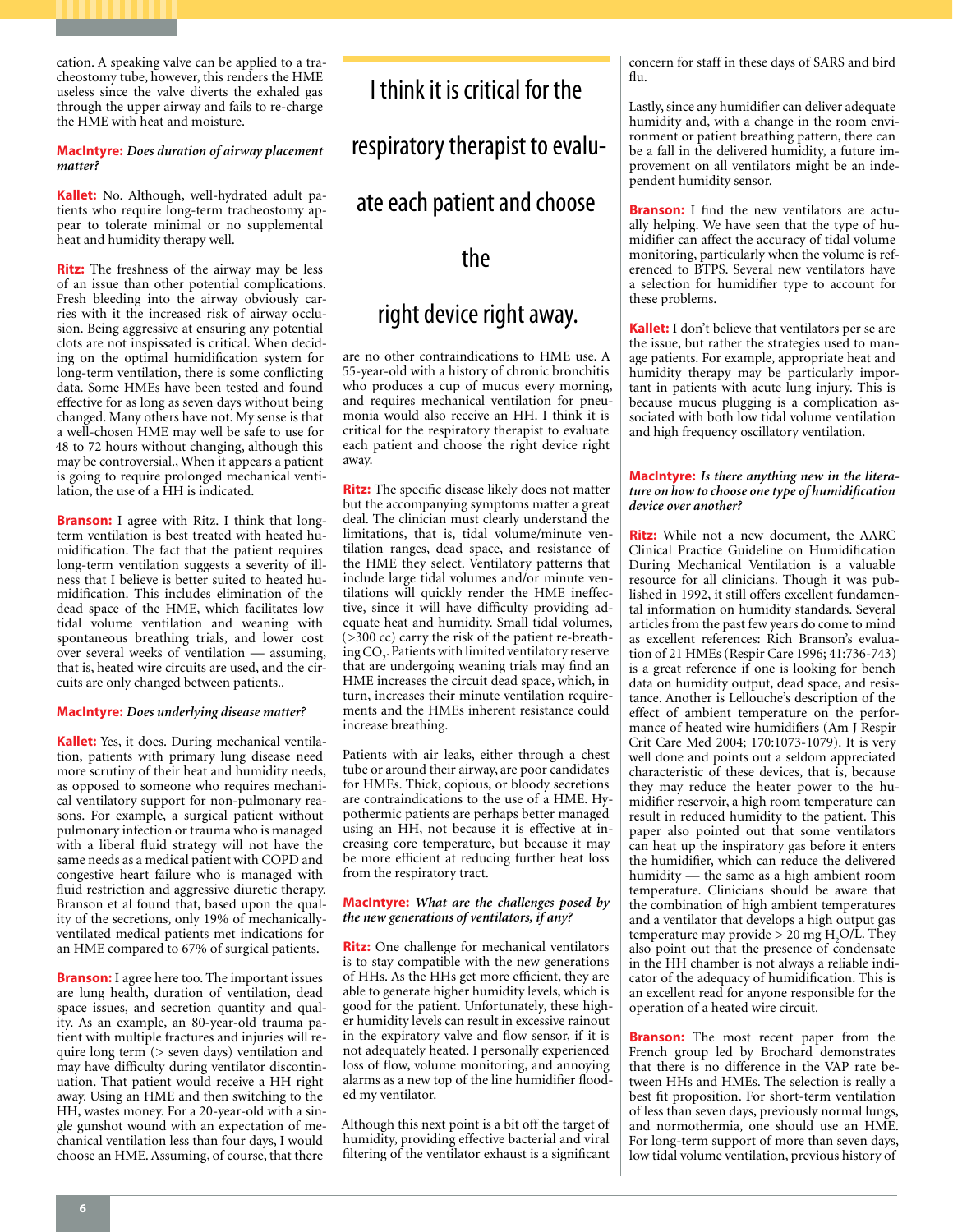cation. A speaking valve can be applied to a tracheostomy tube, however, this renders the HME useless since the valve diverts the exhaled gas through the upper airway and fails to re-charge the HME with heat and moisture.

#### **MacIntyre:** *Does duration of airway placement matter?*

**Kallet:** No. Although, well-hydrated adult patients who require long-term tracheostomy appear to tolerate minimal or no supplemental heat and humidity therapy well.

**Ritz:** The freshness of the airway may be less of an issue than other potential complications. Fresh bleeding into the airway obviously carries with it the increased risk of airway occlusion. Being aggressive at ensuring any potential clots are not inspissated is critical. When deciding on the optimal humidification system for long-term ventilation, there is some conflicting data. Some HMEs have been tested and found effective for as long as seven days without being changed. Many others have not. My sense is that a well-chosen HME may well be safe to use for 48 to 72 hours without changing, although this may be controversial., When it appears a patient is going to require prolonged mechanical ventilation, the use of a HH is indicated.

**Branson:** I agree with Ritz. I think that longterm ventilation is best treated with heated humidification. The fact that the patient requires long-term ventilation suggests a severity of illness that I believe is better suited to heated humidification. This includes elimination of the dead space of the HME, which facilitates low tidal volume ventilation and weaning with spontaneous breathing trials, and lower cost over several weeks of ventilation — assuming, that is, heated wire circuits are used, and the circuits are only changed between patients..

#### **MacIntyre:** *Does underlying disease matter?*

**Kallet:** Yes, it does. During mechanical ventilation, patients with primary lung disease need more scrutiny of their heat and humidity needs, as opposed to someone who requires mechanical ventilatory support for non-pulmonary reasons. For example, a surgical patient without pulmonary infection or trauma who is managed with a liberal fluid strategy will not have the same needs as a medical patient with COPD and congestive heart failure who is managed with fluid restriction and aggressive diuretic therapy. Branson et al found that, based upon the quality of the secretions, only 19% of mechanicallyventilated medical patients met indications for an HME compared to 67% of surgical patients.

**Branson:** I agree here too. The important issues are lung health, duration of ventilation, dead space issues, and secretion quantity and quality. As an example, an 80-year-old trauma patient with multiple fractures and injuries will require long term (> seven days) ventilation and may have difficulty during ventilator discontinuation. That patient would receive a HH right away. Using an HME and then switching to the HH, wastes money. For a 20-year-old with a single gunshot wound with an expectation of mechanical ventilation less than four days, I would choose an HME. Assuming, of course, that there

# I think it is critical for the

respiratory therapist to evalu-

## ate each patient and choose

# the

# right device right away.

are no other contraindications to HME use. A 55-year-old with a history of chronic bronchitis who produces a cup of mucus every morning, and requires mechanical ventilation for pneumonia would also receive an HH. I think it is critical for the respiratory therapist to evaluate each patient and choose the right device right away.

**Ritz:** The specific disease likely does not matter but the accompanying symptoms matter a great deal. The clinician must clearly understand the limitations, that is, tidal volume/minute ventilation ranges, dead space, and resistance of the HME they select. Ventilatory patterns that include large tidal volumes and/or minute ventilations will quickly render the HME ineffective, since it will have difficulty providing adequate heat and humidity. Small tidal volumes, (>300 cc) carry the risk of the patient re-breathing  $\mathrm{CO}_2$ . Patients with limited ventilatory reserve that are undergoing weaning trials may find an HME increases the circuit dead space, which, in turn, increases their minute ventilation requirements and the HMEs inherent resistance could increase breathing.

Patients with air leaks, either through a chest tube or around their airway, are poor candidates for HMEs. Thick, copious, or bloody secretions are contraindications to the use of a HME. Hypothermic patients are perhaps better managed using an HH, not because it is effective at increasing core temperature, but because it may be more efficient at reducing further heat loss from the respiratory tract.

#### **MacIntyre:** *What are the challenges posed by the new generations of ventilators, if any?*

**Ritz:** One challenge for mechanical ventilators is to stay compatible with the new generations of HHs. As the HHs get more efficient, they are able to generate higher humidity levels, which is good for the patient. Unfortunately, these higher humidity levels can result in excessive rainout in the expiratory valve and flow sensor, if it is not adequately heated. I personally experienced loss of flow, volume monitoring, and annoying alarms as a new top of the line humidifier flooded my ventilator.

Although this next point is a bit off the target of humidity, providing effective bacterial and viral filtering of the ventilator exhaust is a significant concern for staff in these days of SARS and bird flu.

Lastly, since any humidifier can deliver adequate humidity and, with a change in the room environment or patient breathing pattern, there can be a fall in the delivered humidity, a future improvement on all ventilators might be an independent humidity sensor.

**Branson:** I find the new ventilators are actually helping. We have seen that the type of humidifier can affect the accuracy of tidal volume monitoring, particularly when the volume is referenced to BTPS. Several new ventilators have a selection for humidifier type to account for these problems.

**Kallet:** I don't believe that ventilators per se are the issue, but rather the strategies used to manage patients. For example, appropriate heat and humidity therapy may be particularly important in patients with acute lung injury. This is because mucus plugging is a complication associated with both low tidal volume ventilation and high frequency oscillatory ventilation.

#### **MacIntyre:** *Is there anything new in the literature on how to choose one type of humidification device over another?*

**Ritz:** While not a new document, the AARC Clinical Practice Guideline on Humidification During Mechanical Ventilation is a valuable resource for all clinicians. Though it was published in 1992, it still offers excellent fundamental information on humidity standards. Several articles from the past few years do come to mind as excellent references: Rich Branson's evaluation of 21 HMEs (Respir Care 1996; 41:736-743) is a great reference if one is looking for bench data on humidity output, dead space, and resistance. Another is Lellouche's description of the effect of ambient temperature on the performance of heated wire humidifiers (Am J Respir Crit Care Med 2004; 170:1073-1079). It is very well done and points out a seldom appreciated characteristic of these devices, that is, because they may reduce the heater power to the humidifier reservoir, a high room temperature can result in reduced humidity to the patient. This paper also pointed out that some ventilators can heat up the inspiratory gas before it enters the humidifier, which can reduce the delivered humidity — the same as a high ambient room temperature. Clinicians should be aware that the combination of high ambient temperatures and a ventilator that develops a high output gas temperature may provide  $> 20$  mg  $H_2O/L$ . They also point out that the presence of condensate in the HH chamber is not always a reliable indicator of the adequacy of humidification. This is an excellent read for anyone responsible for the operation of a heated wire circuit.

**Branson:** The most recent paper from the French group led by Brochard demonstrates that there is no difference in the VAP rate between HHs and HMEs. The selection is really a best fit proposition. For short-term ventilation of less than seven days, previously normal lungs, and normothermia, one should use an HME. For long-term support of more than seven days, low tidal volume ventilation, previous history of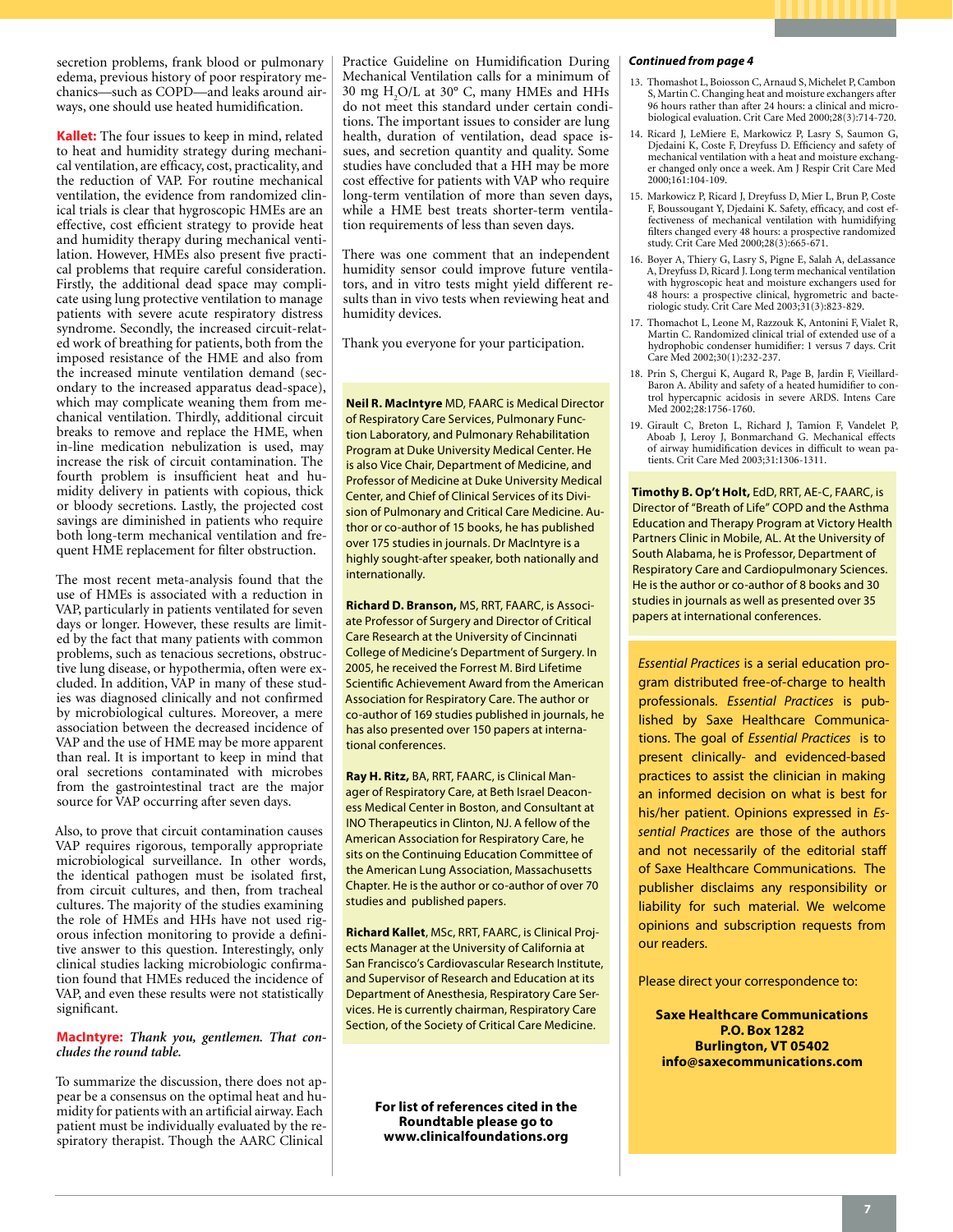secretion problems, frank blood or pulmonary edema, previous history of poor respiratory mechanics—such as COPD—and leaks around airways, one should use heated humidification.

**Kallet:** The four issues to keep in mind, related to heat and humidity strategy during mechanical ventilation, are efficacy, cost, practicality, and the reduction of VAP. For routine mechanical ventilation, the evidence from randomized clinical trials is clear that hygroscopic HMEs are an effective, cost efficient strategy to provide heat and humidity therapy during mechanical ventilation. However, HMEs also present five practical problems that require careful consideration. Firstly, the additional dead space may complicate using lung protective ventilation to manage patients with severe acute respiratory distress syndrome. Secondly, the increased circuit-related work of breathing for patients, both from the imposed resistance of the HME and also from the increased minute ventilation demand (secondary to the increased apparatus dead-space), which may complicate weaning them from mechanical ventilation. Thirdly, additional circuit breaks to remove and replace the HME, when in-line medication nebulization is used, may increase the risk of circuit contamination. The fourth problem is insufficient heat and humidity delivery in patients with copious, thick or bloody secretions. Lastly, the projected cost savings are diminished in patients who require both long-term mechanical ventilation and frequent HME replacement for filter obstruction.

The most recent meta-analysis found that the use of HMEs is associated with a reduction in VAP, particularly in patients ventilated for seven days or longer. However, these results are limited by the fact that many patients with common problems, such as tenacious secretions, obstructive lung disease, or hypothermia, often were excluded. In addition, VAP in many of these studies was diagnosed clinically and not confirmed by microbiological cultures. Moreover, a mere association between the decreased incidence of VAP and the use of HME may be more apparent than real. It is important to keep in mind that oral secretions contaminated with microbes from the gastrointestinal tract are the major source for VAP occurring after seven days.

Also, to prove that circuit contamination causes VAP requires rigorous, temporally appropriate microbiological surveillance. In other words, the identical pathogen must be isolated first, from circuit cultures, and then, from tracheal cultures. The majority of the studies examining the role of HMEs and HHs have not used rigorous infection monitoring to provide a definitive answer to this question. Interestingly, only clinical studies lacking microbiologic confirmation found that HMEs reduced the incidence of VAP, and even these results were not statistically significant.

#### **MacIntyre:** *Thank you, gentlemen. That concludes the round table.*

To summarize the discussion, there does not appear be a consensus on the optimal heat and humidity for patients with an artificial airway. Each patient must be individually evaluated by the respiratory therapist. Though the AARC Clinical

Practice Guideline on Humidification During Mechanical Ventilation calls for a minimum of 30 mg H2 O/L at 30° C, many HMEs and HHs do not meet this standard under certain conditions. The important issues to consider are lung health, duration of ventilation, dead space issues, and secretion quantity and quality. Some studies have concluded that a HH may be more cost effective for patients with VAP who require long-term ventilation of more than seven days, while a HME best treats shorter-term ventilation requirements of less than seven days.

There was one comment that an independent humidity sensor could improve future ventilators, and in vitro tests might yield different results than in vivo tests when reviewing heat and humidity devices.

Thank you everyone for your participation.

#### **Neil R. MacIntyre** MD, FAARC is Medical Director of Respiratory Care Services, Pulmonary Function Laboratory, and Pulmonary Rehabilitation Program at Duke University Medical Center. He is also Vice Chair, Department of Medicine, and Professor of Medicine at Duke University Medical Center, and Chief of Clinical Services of its Division of Pulmonary and Critical Care Medicine. Author or co-author of 15 books, he has published over 175 studies in journals. Dr MacIntyre is a highly sought-after speaker, both nationally and internationally.

**Richard D. Branson,** MS, RRT, FAARC, is Associate Professor of Surgery and Director of Critical Care Research at the University of Cincinnati College of Medicine's Department of Surgery. In 2005, he received the Forrest M. Bird Lifetime Scientific Achievement Award from the American Association for Respiratory Care. The author or co-author of 169 studies published in journals, he has also presented over 150 papers at international conferences.

**Ray H. Ritz,** BA, RRT, FAARC, is Clinical Manager of Respiratory Care, at Beth Israel Deaconess Medical Center in Boston, and Consultant at INO Therapeutics in Clinton, NJ. A fellow of the American Association for Respiratory Care, he sits on the Continuing Education Committee of the American Lung Association, Massachusetts Chapter. He is the author or co-author of over 70 studies and published papers.

**Richard Kallet**, MSc, RRT, FAARC, is Clinical Projects Manager at the University of California at San Francisco's Cardiovascular Research Institute, and Supervisor of Research and Education at its Department of Anesthesia, Respiratory Care Services. He is currently chairman, Respiratory Care Section, of the Society of Critical Care Medicine.

> **For list of references cited in the Roundtable please go to www.clinicalfoundations.org**

#### *Continued from page 4*

- 13. Thomashot L, Boiosson C, Arnaud S, Michelet P, Cambon S, Martin C. Changing heat and moisture exchangers after 96 hours rather than after 24 hours: a clinical and microbiological evaluation. Crit Care Med 2000;28(3):714-720.
- 14. Ricard J, LeMiere E, Markowicz P, Lasry S, Saumon G, Djedaini K, Coste F, Dreyfuss D. Efficiency and safety of mechanical ventilation with a heat and moisture exchang-er changed only once a week. Am J Respir Crit Care Med 2000;161:104-109.
- 15. Markowicz P, Ricard J, Dreyfuss D, Mier L, Brun P, Coste F, Boussougant Y, Djedaini K. Safety, efficacy, and cost effectiveness of mechanical ventilation with humidifying filters changed every 48 hours: a prospective randomized study. Crit Care Med 2000;28(3):665-671.
- 16. Boyer A, Thiery G, Lasry S, Pigne E, Salah A, deLassance A, Dreyfuss D, Ricard J. Long term mechanical ventilation with hygroscopic heat and moisture exchangers used for 48 hours: a prospective clinical, hygrometric and bacteriologic study. Crit Care Med 2003;31(3):823-829.
- 17. Thomachot L, Leone M, Razzouk K, Antonini F, Vialet R, Martin C. Randomized clinical trial of extended use of a hydrophobic condenser humidifier: 1 versus 7 days. Crit Care Med 2002;30(1):232-237.
- 18. Prin S, Chergui K, Augard R, Page B, Jardin F, Vieillard-Baron A. Ability and safety of a heated humidifier to control hypercapnic acidosis in severe ARDS. Intens Care Med 2002;28:1756-1760.
- 19. Girault C, Breton L, Richard J, Tamion F, Vandelet P, Aboab J, Leroy J, Bonmarchand G. Mechanical effects of airway humidification devices in difficult to wean patients. Crit Care Med 2003;31:1306-1311.

**Timothy B. Op't Holt,** EdD, RRT, AE-C, FAARC, is Director of "Breath of Life" COPD and the Asthma Education and Therapy Program at Victory Health Partners Clinic in Mobile, AL. At the University of South Alabama, he is Professor, Department of Respiratory Care and Cardiopulmonary Sciences. He is the author or co-author of 8 books and 30 studies in journals as well as presented over 35 papers at international conferences.

*Essential Practices* is a serial education program distributed free-of-charge to health professionals. *Essential Practices* is published by Saxe Healthcare Communications. The goal of *Essential Practices* is to present clinically- and evidenced-based practices to assist the clinician in making an informed decision on what is best for his/her patient. Opinions expressed in *Essential Practices* are those of the authors and not necessarily of the editorial staff of Saxe Healthcare Communications. The publisher disclaims any responsibility or liability for such material. We welcome opinions and subscription requests from our readers.

Please direct your correspondence to:

**Saxe Healthcare Communications P.O. Box 1282 Burlington, VT 05402 info@saxecommunications.com**